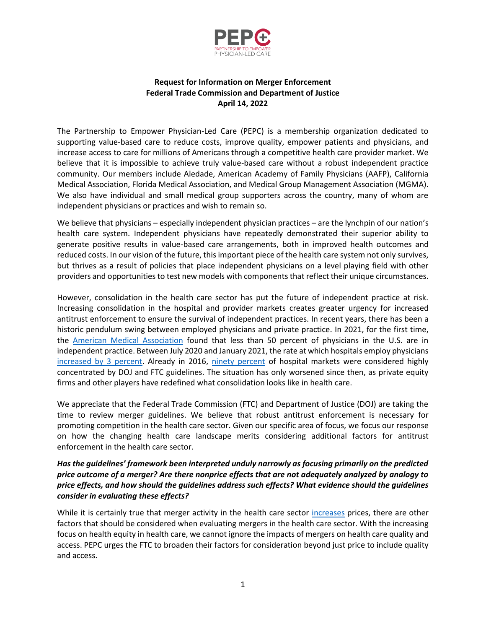

## **Request for Information on Merger Enforcement Federal Trade Commission and Department of Justice April 14, 2022**

The Partnership to Empower Physician-Led Care (PEPC) is a membership organization dedicated to supporting value-based care to reduce costs, improve quality, empower patients and physicians, and increase access to care for millions of Americans through a competitive health care provider market. We believe that it is impossible to achieve truly value-based care without a robust independent practice community. Our members include Aledade, American Academy of Family Physicians (AAFP), California Medical Association, Florida Medical Association, and Medical Group Management Association (MGMA). We also have individual and small medical group supporters across the country, many of whom are independent physicians or practices and wish to remain so.

We believe that physicians – especially independent physician practices – are the lynchpin of our nation's health care system. Independent physicians have repeatedly demonstrated their superior ability to generate positive results in value-based care arrangements, both in improved health outcomes and reduced costs. In our vision of the future, this important piece of the health care system not only survives, but thrives as a result of policies that place independent physicians on a level playing field with other providers and opportunities to test new models with components that reflect their unique circumstances.

However, consolidation in the health care sector has put the future of independent practice at risk. Increasing consolidation in the hospital and provider markets creates greater urgency for increased antitrust enforcement to ensure the survival of independent practices. In recent years, there has been a historic pendulum swing between employed physicians and private practice. In 2021, for the first time, the [American Medical Association](https://www.ama-assn.org/press-center/press-releases/ama-analysis-shows-most-physicians-work-outside-private-practice) found that less than 50 percent of physicians in the U.S. are in independent practice. Between July 2020 and January 2021, the rate at which hospitals employ physicians [increased](https://www.milbank.org/quarterly/opinions/consolidation-of-hospitals-during-the-covid-19-pandemic-government-bailouts-and-private-equity/) by 3 percent. Already in 2016, [ninety percent](https://www.healthaffairs.org/doi/full/10.1377/hlthaff.2017.0556) of hospital markets were considered highly concentrated by DOJ and FTC guidelines. The situation has only worsened since then, as private equity firms and other players have redefined what consolidation looks like in health care.

We appreciate that the Federal Trade Commission (FTC) and Department of Justice (DOJ) are taking the time to review merger guidelines. We believe that robust antitrust enforcement is necessary for promoting competition in the health care sector. Given our specific area of focus, we focus our response on how the changing health care landscape merits considering additional factors for antitrust enforcement in the health care sector.

## *Has the guidelines' framework been interpreted unduly narrowly as focusing primarily on the predicted price outcome of a merger? Are there nonprice effects that are not adequately analyzed by analogy to price effects, and how should the guidelines address such effects? What evidence should the guidelines consider in evaluating these effects?*

While it is certainly true that merger activity in the health care sector [increases](https://www.kff.org/health-costs/issue-brief/what-we-know-about-provider-consolidation/) prices, there are other factors that should be considered when evaluating mergers in the health care sector. With the increasing focus on health equity in health care, we cannot ignore the impacts of mergers on health care quality and access. PEPC urges the FTC to broaden their factors for consideration beyond just price to include quality and access.